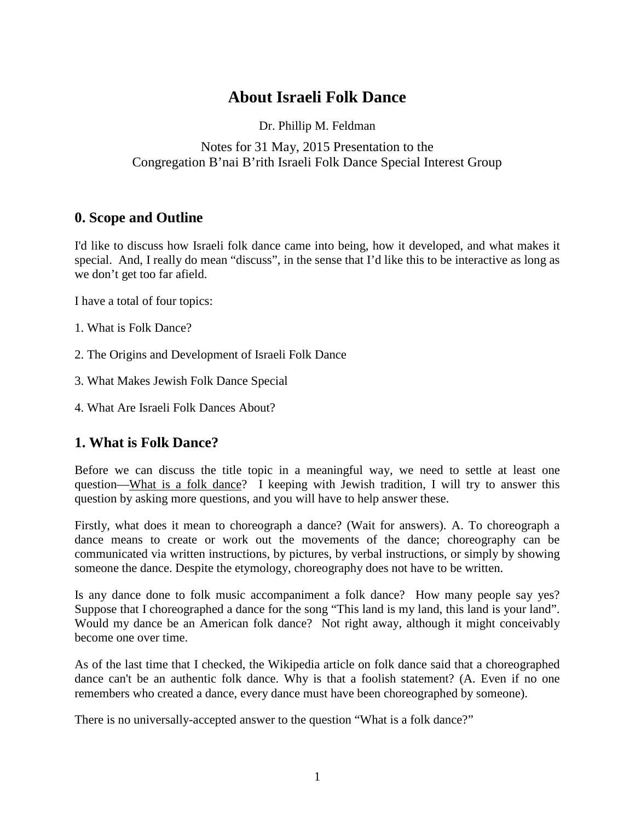# **About Israeli Folk Dance**

Dr. Phillip M. Feldman

### Notes for 31 May, 2015 Presentation to the Congregation B'nai B'rith Israeli Folk Dance Special Interest Group

## **0. Scope and Outline**

I'd like to discuss how Israeli folk dance came into being, how it developed, and what makes it special. And, I really do mean "discuss", in the sense that I'd like this to be interactive as long as we don't get too far afield.

I have a total of four topics:

- 1. What is Folk Dance?
- 2. The Origins and Development of Israeli Folk Dance
- 3. What Makes Jewish Folk Dance Special
- 4. What Are Israeli Folk Dances About?

### **1. What is Folk Dance?**

Before we can discuss the title topic in a meaningful way, we need to settle at least one question—What is a folk dance? I keeping with Jewish tradition, I will try to answer this question by asking more questions, and you will have to help answer these.

Firstly, what does it mean to choreograph a dance? (Wait for answers). A. To choreograph a dance means to create or work out the movements of the dance; choreography can be communicated via written instructions, by pictures, by verbal instructions, or simply by showing someone the dance. Despite the etymology, choreography does not have to be written.

Is any dance done to folk music accompaniment a folk dance? How many people say yes? Suppose that I choreographed a dance for the song "This land is my land, this land is your land". Would my dance be an American folk dance? Not right away, although it might conceivably become one over time.

As of the last time that I checked, the Wikipedia article on folk dance said that a choreographed dance can't be an authentic folk dance. Why is that a foolish statement? (A. Even if no one remembers who created a dance, every dance must have been choreographed by someone).

There is no universally-accepted answer to the question "What is a folk dance?"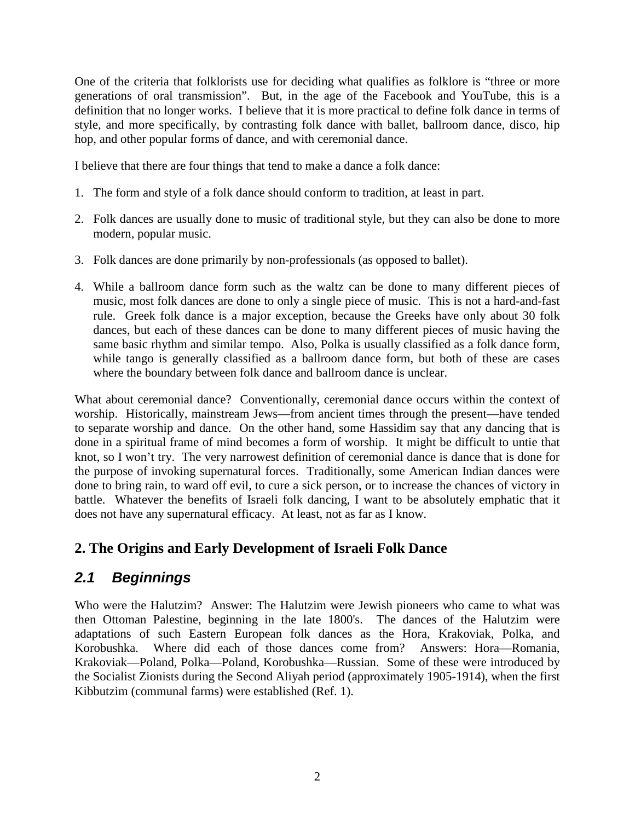One of the criteria that folklorists use for deciding what qualifies as folklore is "three or more generations of oral transmission". But, in the age of the Facebook and YouTube, this is a definition that no longer works. I believe that it is more practical to define folk dance in terms of style, and more specifically, by contrasting folk dance with ballet, ballroom dance, disco, hip hop, and other popular forms of dance, and with ceremonial dance.

I believe that there are four things that tend to make a dance a folk dance:

- 1. The form and style of a folk dance should conform to tradition, at least in part.
- 2. Folk dances are usually done to music of traditional style, but they can also be done to more modern, popular music.
- 3. Folk dances are done primarily by non-professionals (as opposed to ballet).
- 4. While a ballroom dance form such as the waltz can be done to many different pieces of music, most folk dances are done to only a single piece of music. This is not a hard-and-fast rule. Greek folk dance is a major exception, because the Greeks have only about 30 folk dances, but each of these dances can be done to many different pieces of music having the same basic rhythm and similar tempo. Also, Polka is usually classified as a folk dance form, while tango is generally classified as a ballroom dance form, but both of these are cases where the boundary between folk dance and ballroom dance is unclear.

What about ceremonial dance? Conventionally, ceremonial dance occurs within the context of worship. Historically, mainstream Jews—from ancient times through the present—have tended to separate worship and dance. On the other hand, some Hassidim say that any dancing that is done in a spiritual frame of mind becomes a form of worship. It might be difficult to untie that knot, so I won't try. The very narrowest definition of ceremonial dance is dance that is done for the purpose of invoking supernatural forces. Traditionally, some American Indian dances were done to bring rain, to ward off evil, to cure a sick person, or to increase the chances of victory in battle. Whatever the benefits of Israeli folk dancing, I want to be absolutely emphatic that it does not have any supernatural efficacy. At least, not as far as I know.

## **2. The Origins and Early Development of Israeli Folk Dance**

# *2.1 Beginnings*

Who were the Halutzim? Answer: The Halutzim were Jewish pioneers who came to what was then Ottoman Palestine, beginning in the late 1800's. The dances of the Halutzim were adaptations of such Eastern European folk dances as the Hora, Krakoviak, Polka, and Korobushka. Where did each of those dances come from? Answers: Hora—Romania, Krakoviak—Poland, Polka—Poland, Korobushka—Russian. Some of these were introduced by the Socialist Zionists during the Second Aliyah period (approximately 1905-1914), when the first Kibbutzim (communal farms) were established (Ref. 1).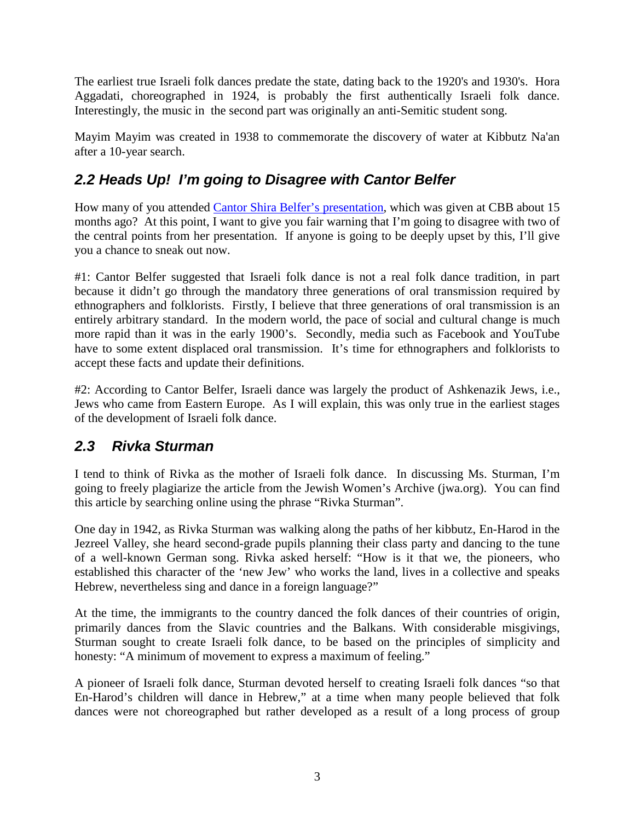The earliest true Israeli folk dances predate the state, dating back to the 1920's and 1930's. Hora Aggadati, choreographed in 1924, is probably the first authentically Israeli folk dance. Interestingly, the music in the second part was originally an anti-Semitic student song.

Mayim Mayim was created in 1938 to commemorate the discovery of water at Kibbutz Na'an after a 10-year search.

# *2.2 Heads Up! I'm going to Disagree with Cantor Belfer*

How many of you attended [Cantor Shira Belfer's presentation,](http://phillipmfeldman.org/dance/videos/Cantor%20Shira%20Belfer%20presentation.mp4) which was given at CBB about 15 months ago? At this point, I want to give you fair warning that I'm going to disagree with two of the central points from her presentation. If anyone is going to be deeply upset by this, I'll give you a chance to sneak out now.

#1: Cantor Belfer suggested that Israeli folk dance is not a real folk dance tradition, in part because it didn't go through the mandatory three generations of oral transmission required by ethnographers and folklorists. Firstly, I believe that three generations of oral transmission is an entirely arbitrary standard. In the modern world, the pace of social and cultural change is much more rapid than it was in the early 1900's. Secondly, media such as Facebook and YouTube have to some extent displaced oral transmission. It's time for ethnographers and folklorists to accept these facts and update their definitions.

#2: According to Cantor Belfer, Israeli dance was largely the product of Ashkenazik Jews, i.e., Jews who came from Eastern Europe. As I will explain, this was only true in the earliest stages of the development of Israeli folk dance.

# *2.3 Rivka Sturman*

I tend to think of Rivka as the mother of Israeli folk dance. In discussing Ms. Sturman, I'm going to freely plagiarize the article from the Jewish Women's Archive (jwa.org). You can find this article by searching online using the phrase "Rivka Sturman".

One day in 1942, as Rivka Sturman was walking along the paths of her kibbutz, En-Harod in the Jezreel Valley, she heard second-grade pupils planning their class party and dancing to the tune of a well-known German song. Rivka asked herself: "How is it that we, the pioneers, who established this character of the 'new Jew' who works the land, lives in a collective and speaks Hebrew, nevertheless sing and dance in a foreign language?"

At the time, the immigrants to the country danced the folk dances of their countries of origin, primarily dances from the Slavic countries and the Balkans. With considerable misgivings, Sturman sought to create Israeli folk dance, to be based on the principles of simplicity and honesty: "A minimum of movement to express a maximum of feeling."

A pioneer of Israeli folk dance, Sturman devoted herself to creating Israeli folk dances "so that En-Harod's children will dance in Hebrew," at a time when many people believed that folk dances were not choreographed but rather developed as a result of a long process of group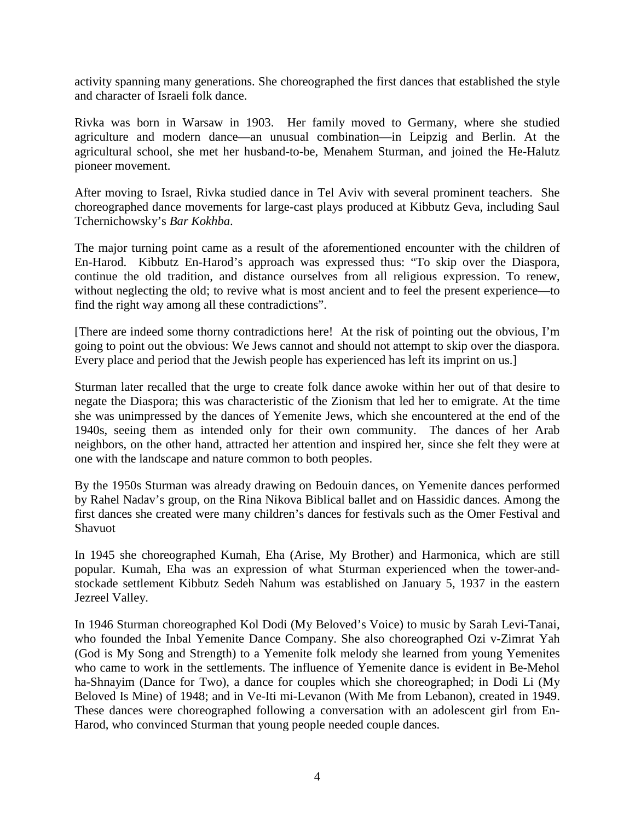activity spanning many generations. She choreographed the first dances that established the style and character of Israeli folk dance.

Rivka was born in Warsaw in 1903. Her family moved to Germany, where she studied agriculture and modern dance—an unusual combination—in Leipzig and Berlin. At the agricultural school, she met her husband-to-be, Menahem Sturman, and joined the He-Halutz pioneer movement.

After moving to Israel, Rivka studied dance in Tel Aviv with several prominent teachers. She choreographed dance movements for large-cast plays produced at Kibbutz Geva, including Saul Tchernichowsky's *Bar Kokhba*.

The major turning point came as a result of the aforementioned encounter with the children of En-Harod. Kibbutz En-Harod's approach was expressed thus: "To skip over the Diaspora, continue the old tradition, and distance ourselves from all religious expression. To renew, without neglecting the old; to revive what is most ancient and to feel the present experience—to find the right way among all these contradictions".

[There are indeed some thorny contradictions here! At the risk of pointing out the obvious, I'm going to point out the obvious: We Jews cannot and should not attempt to skip over the diaspora. Every place and period that the Jewish people has experienced has left its imprint on us.]

Sturman later recalled that the urge to create folk dance awoke within her out of that desire to negate the Diaspora; this was characteristic of the Zionism that led her to emigrate. At the time she was unimpressed by the dances of Yemenite Jews, which she encountered at the end of the 1940s, seeing them as intended only for their own community. The dances of her Arab neighbors, on the other hand, attracted her attention and inspired her, since she felt they were at one with the landscape and nature common to both peoples.

By the 1950s Sturman was already drawing on Bedouin dances, on Yemenite dances performed by Rahel Nadav's group, on the Rina Nikova Biblical ballet and on Hassidic dances. Among the first dances she created were many children's dances for festivals such as the Omer Festival and Shavuot

In 1945 she choreographed Kumah, Eha (Arise, My Brother) and Harmonica, which are still popular. Kumah, Eha was an expression of what Sturman experienced when the tower-andstockade settlement Kibbutz Sedeh Nahum was established on January 5, 1937 in the eastern Jezreel Valley.

In 1946 Sturman choreographed Kol Dodi (My Beloved's Voice) to music by Sarah Levi-Tanai, who founded the Inbal Yemenite Dance Company. She also choreographed Ozi v-Zimrat Yah (God is My Song and Strength) to a Yemenite folk melody she learned from young Yemenites who came to work in the settlements. The influence of Yemenite dance is evident in Be-Mehol ha-Shnayim (Dance for Two), a dance for couples which she choreographed; in Dodi Li (My Beloved Is Mine) of 1948; and in Ve-Iti mi-Levanon (With Me from Lebanon), created in 1949. These dances were choreographed following a conversation with an adolescent girl from En-Harod, who convinced Sturman that young people needed couple dances.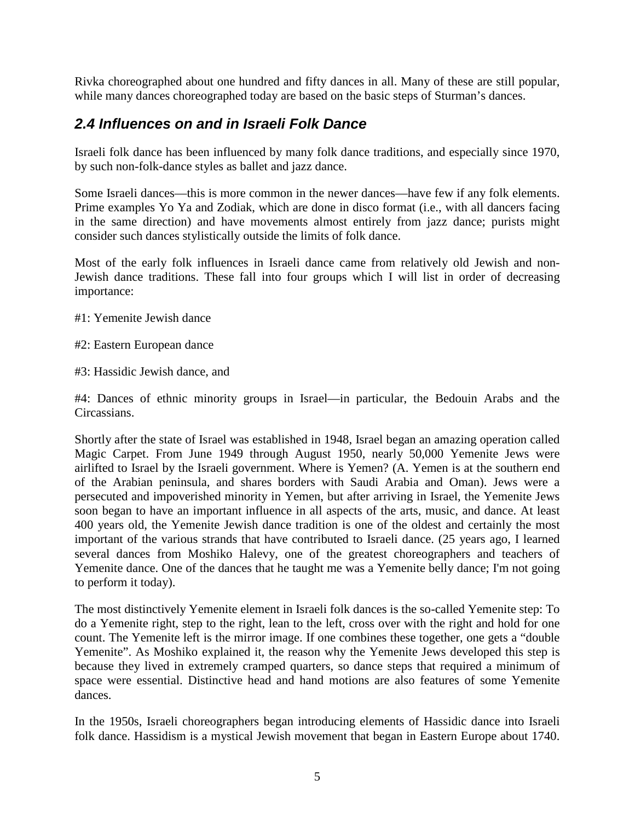Rivka choreographed about one hundred and fifty dances in all. Many of these are still popular, while many dances choreographed today are based on the basic steps of Sturman's dances.

# *2.4 Influences on and in Israeli Folk Dance*

Israeli folk dance has been influenced by many folk dance traditions, and especially since 1970, by such non-folk-dance styles as ballet and jazz dance.

Some Israeli dances—this is more common in the newer dances—have few if any folk elements. Prime examples Yo Ya and Zodiak, which are done in disco format (i.e., with all dancers facing in the same direction) and have movements almost entirely from jazz dance; purists might consider such dances stylistically outside the limits of folk dance.

Most of the early folk influences in Israeli dance came from relatively old Jewish and non-Jewish dance traditions. These fall into four groups which I will list in order of decreasing importance:

- #1: Yemenite Jewish dance
- #2: Eastern European dance
- #3: Hassidic Jewish dance, and

#4: Dances of ethnic minority groups in Israel—in particular, the Bedouin Arabs and the Circassians.

Shortly after the state of Israel was established in 1948, Israel began an amazing operation called Magic Carpet. From June 1949 through August 1950, nearly 50,000 Yemenite Jews were airlifted to Israel by the Israeli government. Where is Yemen? (A. Yemen is at the southern end of the Arabian peninsula, and shares borders with Saudi Arabia and Oman). Jews were a persecuted and impoverished minority in Yemen, but after arriving in Israel, the Yemenite Jews soon began to have an important influence in all aspects of the arts, music, and dance. At least 400 years old, the Yemenite Jewish dance tradition is one of the oldest and certainly the most important of the various strands that have contributed to Israeli dance. (25 years ago, I learned several dances from Moshiko Halevy, one of the greatest choreographers and teachers of Yemenite dance. One of the dances that he taught me was a Yemenite belly dance; I'm not going to perform it today).

The most distinctively Yemenite element in Israeli folk dances is the so-called Yemenite step: To do a Yemenite right, step to the right, lean to the left, cross over with the right and hold for one count. The Yemenite left is the mirror image. If one combines these together, one gets a "double Yemenite". As Moshiko explained it, the reason why the Yemenite Jews developed this step is because they lived in extremely cramped quarters, so dance steps that required a minimum of space were essential. Distinctive head and hand motions are also features of some Yemenite dances.

In the 1950s, Israeli choreographers began introducing elements of Hassidic dance into Israeli folk dance. Hassidism is a mystical Jewish movement that began in Eastern Europe about 1740.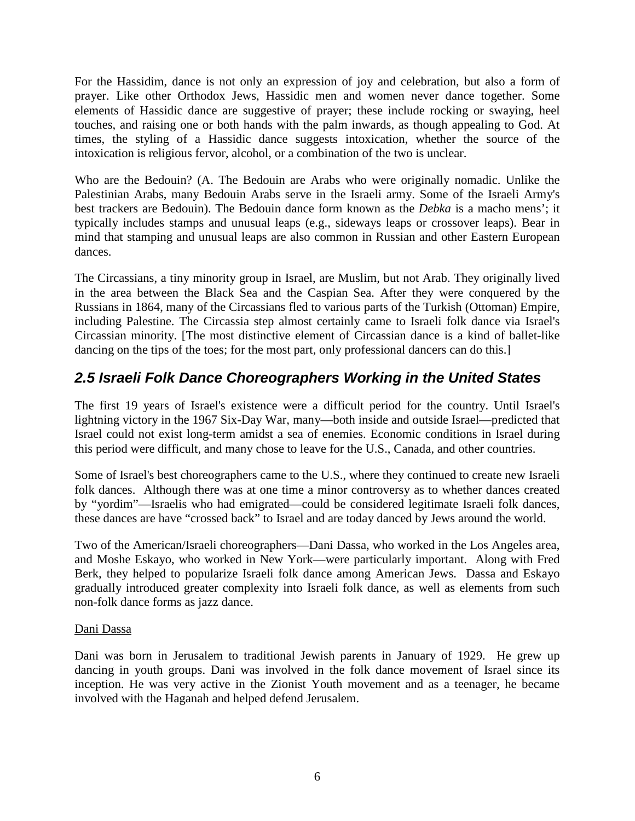For the Hassidim, dance is not only an expression of joy and celebration, but also a form of prayer. Like other Orthodox Jews, Hassidic men and women never dance together. Some elements of Hassidic dance are suggestive of prayer; these include rocking or swaying, heel touches, and raising one or both hands with the palm inwards, as though appealing to God. At times, the styling of a Hassidic dance suggests intoxication, whether the source of the intoxication is religious fervor, alcohol, or a combination of the two is unclear.

Who are the Bedouin? (A. The Bedouin are Arabs who were originally nomadic. Unlike the Palestinian Arabs, many Bedouin Arabs serve in the Israeli army. Some of the Israeli Army's best trackers are Bedouin). The Bedouin dance form known as the *Debka* is a macho mens'; it typically includes stamps and unusual leaps (e.g., sideways leaps or crossover leaps). Bear in mind that stamping and unusual leaps are also common in Russian and other Eastern European dances.

The Circassians, a tiny minority group in Israel, are Muslim, but not Arab. They originally lived in the area between the Black Sea and the Caspian Sea. After they were conquered by the Russians in 1864, many of the Circassians fled to various parts of the Turkish (Ottoman) Empire, including Palestine. The Circassia step almost certainly came to Israeli folk dance via Israel's Circassian minority. [The most distinctive element of Circassian dance is a kind of ballet-like dancing on the tips of the toes; for the most part, only professional dancers can do this.

# *2.5 Israeli Folk Dance Choreographers Working in the United States*

The first 19 years of Israel's existence were a difficult period for the country. Until Israel's lightning victory in the 1967 Six-Day War, many—both inside and outside Israel—predicted that Israel could not exist long-term amidst a sea of enemies. Economic conditions in Israel during this period were difficult, and many chose to leave for the U.S., Canada, and other countries.

Some of Israel's best choreographers came to the U.S., where they continued to create new Israeli folk dances. Although there was at one time a minor controversy as to whether dances created by "yordim"—Israelis who had emigrated—could be considered legitimate Israeli folk dances, these dances are have "crossed back" to Israel and are today danced by Jews around the world.

Two of the American/Israeli choreographers—Dani Dassa, who worked in the Los Angeles area, and Moshe Eskayo, who worked in New York—were particularly important. Along with Fred Berk, they helped to popularize Israeli folk dance among American Jews. Dassa and Eskayo gradually introduced greater complexity into Israeli folk dance, as well as elements from such non-folk dance forms as jazz dance.

#### Dani Dassa

Dani was born in Jerusalem to traditional Jewish parents in January of 1929. He grew up dancing in youth groups. Dani was involved in the folk dance movement of Israel since its inception. He was very active in the Zionist Youth movement and as a teenager, he became involved with the Haganah and helped defend Jerusalem.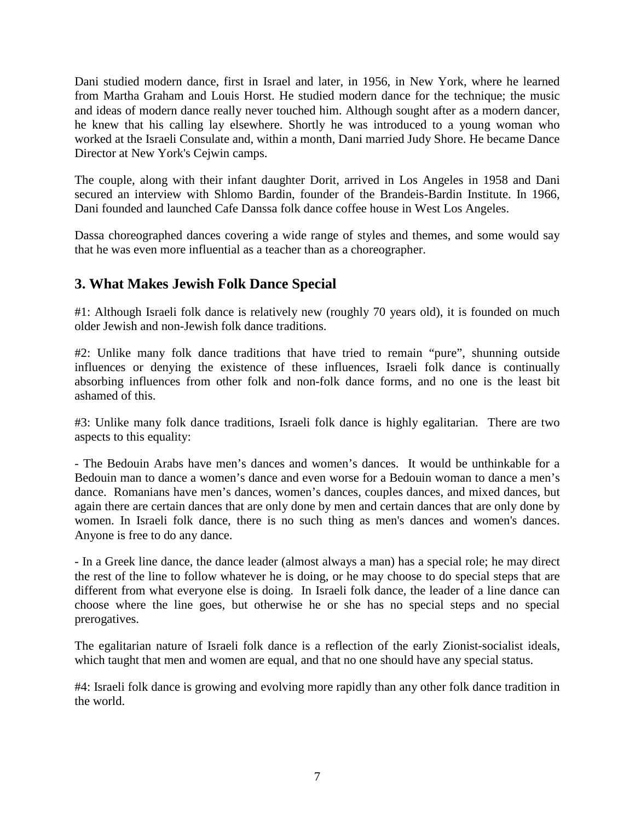Dani studied modern dance, first in Israel and later, in 1956, in New York, where he learned from Martha Graham and Louis Horst. He studied modern dance for the technique; the music and ideas of modern dance really never touched him. Although sought after as a modern dancer, he knew that his calling lay elsewhere. Shortly he was introduced to a young woman who worked at the Israeli Consulate and, within a month, Dani married Judy Shore. He became Dance Director at New York's Cejwin camps.

The couple, along with their infant daughter Dorit, arrived in Los Angeles in 1958 and Dani secured an interview with Shlomo Bardin, founder of the Brandeis-Bardin Institute. In 1966, Dani founded and launched Cafe Danssa folk dance coffee house in West Los Angeles.

Dassa choreographed dances covering a wide range of styles and themes, and some would say that he was even more influential as a teacher than as a choreographer.

# **3. What Makes Jewish Folk Dance Special**

#1: Although Israeli folk dance is relatively new (roughly 70 years old), it is founded on much older Jewish and non-Jewish folk dance traditions.

#2: Unlike many folk dance traditions that have tried to remain "pure", shunning outside influences or denying the existence of these influences, Israeli folk dance is continually absorbing influences from other folk and non-folk dance forms, and no one is the least bit ashamed of this.

#3: Unlike many folk dance traditions, Israeli folk dance is highly egalitarian. There are two aspects to this equality:

- The Bedouin Arabs have men's dances and women's dances. It would be unthinkable for a Bedouin man to dance a women's dance and even worse for a Bedouin woman to dance a men's dance. Romanians have men's dances, women's dances, couples dances, and mixed dances, but again there are certain dances that are only done by men and certain dances that are only done by women. In Israeli folk dance, there is no such thing as men's dances and women's dances. Anyone is free to do any dance.

- In a Greek line dance, the dance leader (almost always a man) has a special role; he may direct the rest of the line to follow whatever he is doing, or he may choose to do special steps that are different from what everyone else is doing. In Israeli folk dance, the leader of a line dance can choose where the line goes, but otherwise he or she has no special steps and no special prerogatives.

The egalitarian nature of Israeli folk dance is a reflection of the early Zionist-socialist ideals, which taught that men and women are equal, and that no one should have any special status.

#4: Israeli folk dance is growing and evolving more rapidly than any other folk dance tradition in the world.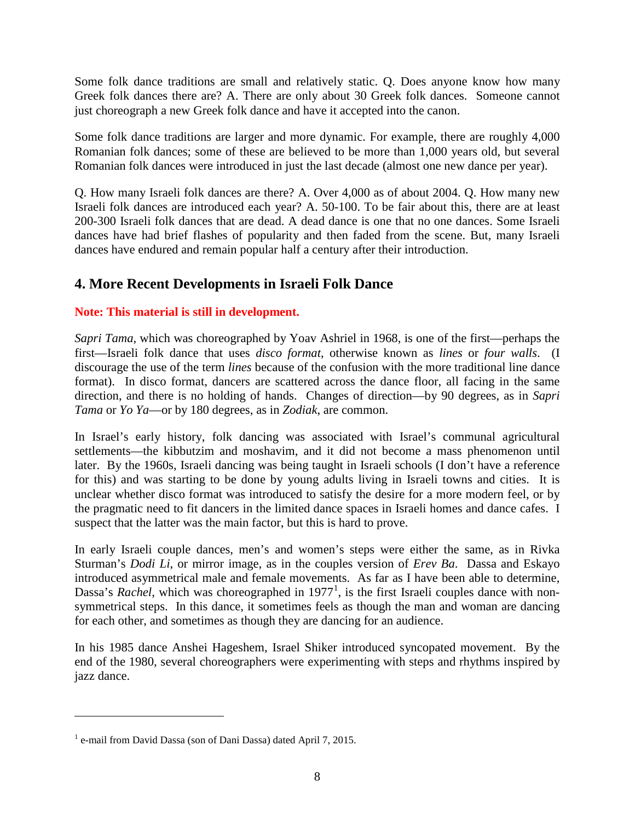Some folk dance traditions are small and relatively static. Q. Does anyone know how many Greek folk dances there are? A. There are only about 30 Greek folk dances. Someone cannot just choreograph a new Greek folk dance and have it accepted into the canon.

Some folk dance traditions are larger and more dynamic. For example, there are roughly 4,000 Romanian folk dances; some of these are believed to be more than 1,000 years old, but several Romanian folk dances were introduced in just the last decade (almost one new dance per year).

Q. How many Israeli folk dances are there? A. Over 4,000 as of about 2004. Q. How many new Israeli folk dances are introduced each year? A. 50-100. To be fair about this, there are at least 200-300 Israeli folk dances that are dead. A dead dance is one that no one dances. Some Israeli dances have had brief flashes of popularity and then faded from the scene. But, many Israeli dances have endured and remain popular half a century after their introduction.

# **4. More Recent Developments in Israeli Folk Dance**

### **Note: This material is still in development.**

*Sapri Tama*, which was choreographed by Yoav Ashriel in 1968, is one of the first—perhaps the first—Israeli folk dance that uses *disco format*, otherwise known as *lines* or *four walls*. (I discourage the use of the term *lines* because of the confusion with the more traditional line dance format). In disco format, dancers are scattered across the dance floor, all facing in the same direction, and there is no holding of hands. Changes of direction—by 90 degrees, as in *Sapri Tama* or *Yo Ya*—or by 180 degrees, as in *Zodiak*, are common.

In Israel's early history, folk dancing was associated with Israel's communal agricultural settlements—the kibbutzim and moshavim, and it did not become a mass phenomenon until later. By the 1960s, Israeli dancing was being taught in Israeli schools (I don't have a reference for this) and was starting to be done by young adults living in Israeli towns and cities. It is unclear whether disco format was introduced to satisfy the desire for a more modern feel, or by the pragmatic need to fit dancers in the limited dance spaces in Israeli homes and dance cafes. I suspect that the latter was the main factor, but this is hard to prove.

In early Israeli couple dances, men's and women's steps were either the same, as in Rivka Sturman's *Dodi Li*, or mirror image, as in the couples version of *Erev Ba*. Dassa and Eskayo introduced asymmetrical male and female movements. As far as I have been able to determine, Dassa's *Rachel*, which was choreographed in [1](#page-7-0)977<sup>1</sup>, is the first Israeli couples dance with nonsymmetrical steps. In this dance, it sometimes feels as though the man and woman are dancing for each other, and sometimes as though they are dancing for an audience.

In his 1985 dance Anshei Hageshem, Israel Shiker introduced syncopated movement. By the end of the 1980, several choreographers were experimenting with steps and rhythms inspired by jazz dance.

 $\overline{a}$ 

<span id="page-7-0"></span><sup>&</sup>lt;sup>1</sup> e-mail from David Dassa (son of Dani Dassa) dated April 7, 2015.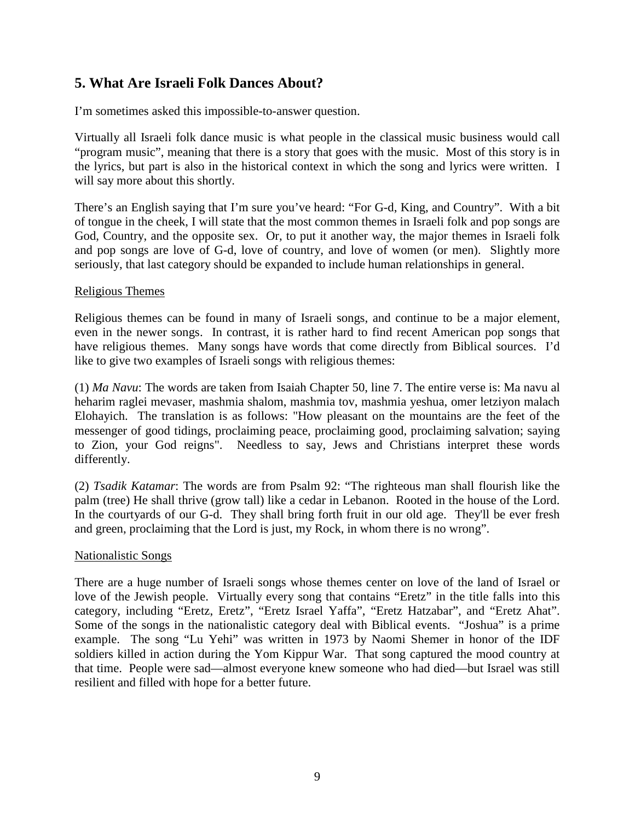### **5. What Are Israeli Folk Dances About?**

I'm sometimes asked this impossible-to-answer question.

Virtually all Israeli folk dance music is what people in the classical music business would call "program music", meaning that there is a story that goes with the music. Most of this story is in the lyrics, but part is also in the historical context in which the song and lyrics were written. I will say more about this shortly.

There's an English saying that I'm sure you've heard: "For G-d, King, and Country". With a bit of tongue in the cheek, I will state that the most common themes in Israeli folk and pop songs are God, Country, and the opposite sex. Or, to put it another way, the major themes in Israeli folk and pop songs are love of G-d, love of country, and love of women (or men). Slightly more seriously, that last category should be expanded to include human relationships in general.

#### Religious Themes

Religious themes can be found in many of Israeli songs, and continue to be a major element, even in the newer songs. In contrast, it is rather hard to find recent American pop songs that have religious themes. Many songs have words that come directly from Biblical sources. I'd like to give two examples of Israeli songs with religious themes:

(1) *Ma Navu*: The words are taken from Isaiah Chapter 50, line 7. The entire verse is: Ma navu al heharim raglei mevaser, mashmia shalom, mashmia tov, mashmia yeshua, omer letziyon malach Elohayich. The translation is as follows: "How pleasant on the mountains are the feet of the messenger of good tidings, proclaiming peace, proclaiming good, proclaiming salvation; saying to Zion, your God reigns". Needless to say, Jews and Christians interpret these words differently.

(2) *Tsadik Katamar*: The words are from Psalm 92: "The righteous man shall flourish like the palm (tree) He shall thrive (grow tall) like a cedar in Lebanon. Rooted in the house of the Lord. In the courtyards of our G-d. They shall bring forth fruit in our old age. They'll be ever fresh and green, proclaiming that the Lord is just, my Rock, in whom there is no wrong".

#### Nationalistic Songs

There are a huge number of Israeli songs whose themes center on love of the land of Israel or love of the Jewish people. Virtually every song that contains "Eretz" in the title falls into this category, including "Eretz, Eretz", "Eretz Israel Yaffa", "Eretz Hatzabar", and "Eretz Ahat". Some of the songs in the nationalistic category deal with Biblical events. "Joshua" is a prime example. The song "Lu Yehi" was written in 1973 by Naomi Shemer in honor of the IDF soldiers killed in action during the Yom Kippur War. That song captured the mood country at that time. People were sad—almost everyone knew someone who had died—but Israel was still resilient and filled with hope for a better future.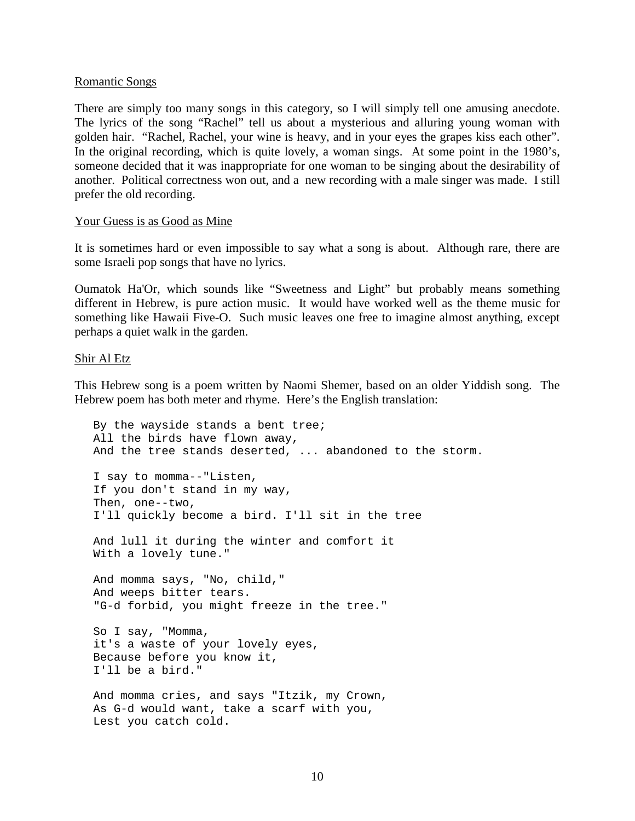#### Romantic Songs

There are simply too many songs in this category, so I will simply tell one amusing anecdote. The lyrics of the song "Rachel" tell us about a mysterious and alluring young woman with golden hair. "Rachel, Rachel, your wine is heavy, and in your eyes the grapes kiss each other". In the original recording, which is quite lovely, a woman sings. At some point in the 1980's, someone decided that it was inappropriate for one woman to be singing about the desirability of another. Political correctness won out, and a new recording with a male singer was made. I still prefer the old recording.

#### Your Guess is as Good as Mine

It is sometimes hard or even impossible to say what a song is about. Although rare, there are some Israeli pop songs that have no lyrics.

Oumatok Ha'Or, which sounds like "Sweetness and Light" but probably means something different in Hebrew, is pure action music. It would have worked well as the theme music for something like Hawaii Five-O. Such music leaves one free to imagine almost anything, except perhaps a quiet walk in the garden.

Shir Al Etz

This Hebrew song is a poem written by Naomi Shemer, based on an older Yiddish song. The Hebrew poem has both meter and rhyme. Here's the English translation:

By the wayside stands a bent tree; All the birds have flown away, And the tree stands deserted, ... abandoned to the storm. I say to momma--"Listen, If you don't stand in my way, Then, one--two, I'll quickly become a bird. I'll sit in the tree And lull it during the winter and comfort it With a lovely tune." And momma says, "No, child," And weeps bitter tears. "G-d forbid, you might freeze in the tree." So I say, "Momma, it's a waste of your lovely eyes, Because before you know it, I'll be a bird." And momma cries, and says "Itzik, my Crown, As G-d would want, take a scarf with you, Lest you catch cold.